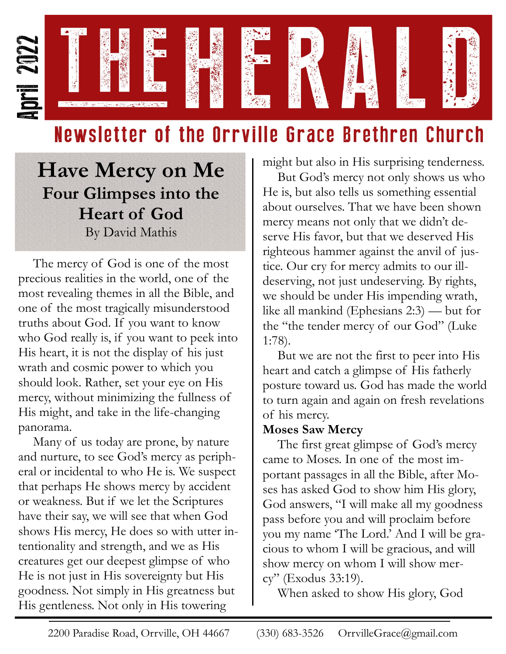

# Newsletter of the Orrville Grace Brethren Church

**Have Mercy on Me Four Glimpses into the Heart of God** By David Mathis

The mercy of God is one of the most precious realities in the world, one of the most revealing themes in all the Bible, and one of the most tragically misunderstood truths about God. If you want to know who God really is, if you want to peek into His heart, it is not the display of his just wrath and cosmic power to which you should look. Rather, set your eye on His mercy, without minimizing the fullness of His might, and take in the life-changing panorama.

Many of us today are prone, by nature and nurture, to see God's mercy as peripheral or incidental to who He is. We suspect that perhaps He shows mercy by accident or weakness. But if we let the Scriptures have their say, we will see that when God shows His mercy, He does so with utter intentionality and strength, and we as His creatures get our deepest glimpse of who He is not just in His sovereignty but His goodness. Not simply in His greatness but His gentleness. Not only in His towering

might but also in His surprising tenderness.

But God's mercy not only shows us who He is, but also tells us something essential about ourselves. That we have been shown mercy means not only that we didn't deserve His favor, but that we deserved His righteous hammer against the anvil of justice. Our cry for mercy admits to our illdeserving, not just undeserving. By rights, we should be under His impending wrath, like all mankind (Ephesians 2:3) — but for the "the tender mercy of our God" (Luke 1:78).

But we are not the first to peer into His heart and catch a glimpse of His fatherly posture toward us. God has made the world to turn again and again on fresh revelations of his mercy.

## **Moses Saw Mercy**

The first great glimpse of God's mercy came to Moses. In one of the most important passages in all the Bible, after Moses has asked God to show him His glory, God answers, "I will make all my goodness pass before you and will proclaim before you my name 'The Lord.' And I will be gracious to whom I will be gracious, and will show mercy on whom I will show mercy" (Exodus 33:19).

When asked to show His glory, God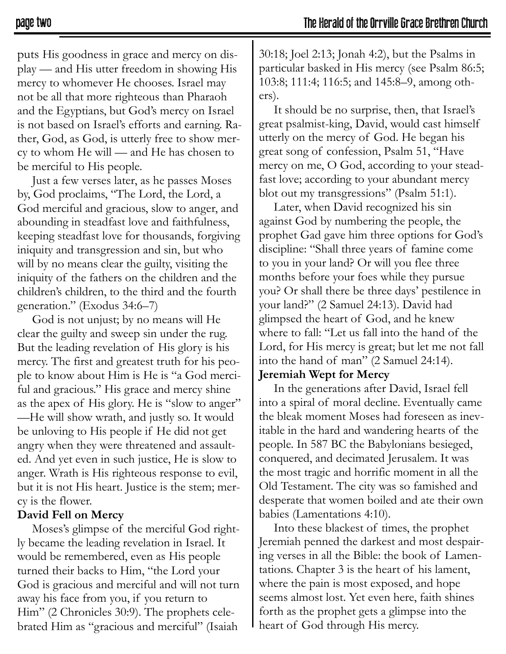puts His goodness in grace and mercy on display — and His utter freedom in showing His mercy to whomever He chooses. Israel may not be all that more righteous than Pharaoh and the Egyptians, but God's mercy on Israel is not based on Israel's efforts and earning. Rather, God, as God, is utterly free to show mercy to whom He will — and He has chosen to be merciful to His people.

Just a few verses later, as he passes Moses by, God proclaims, "The Lord, the Lord, a God merciful and gracious, slow to anger, and abounding in steadfast love and faithfulness, keeping steadfast love for thousands, forgiving iniquity and transgression and sin, but who will by no means clear the guilty, visiting the iniquity of the fathers on the children and the children's children, to the third and the fourth generation." (Exodus 34:6–7)

God is not unjust; by no means will He clear the guilty and sweep sin under the rug. But the leading revelation of His glory is his mercy. The first and greatest truth for his people to know about Him is He is "a God merciful and gracious." His grace and mercy shine as the apex of His glory. He is "slow to anger" —He will show wrath, and justly so. It would be unloving to His people if He did not get angry when they were threatened and assaulted. And yet even in such justice, He is slow to anger. Wrath is His righteous response to evil, but it is not His heart. Justice is the stem; mercy is the flower.

#### **David Fell on Mercy**

Moses's glimpse of the merciful God rightly became the leading revelation in Israel. It would be remembered, even as His people turned their backs to Him, "the Lord your God is gracious and merciful and will not turn away his face from you, if you return to Him" (2 Chronicles 30:9). The prophets celebrated Him as "gracious and merciful" (Isaiah

30:18; Joel 2:13; Jonah 4:2), but the Psalms in particular basked in His mercy (see Psalm 86:5; 103:8; 111:4; 116:5; and 145:8–9, among others).

It should be no surprise, then, that Israel's great psalmist-king, David, would cast himself utterly on the mercy of God. He began his great song of confession, Psalm 51, "Have mercy on me, O God, according to your steadfast love; according to your abundant mercy blot out my transgressions" (Psalm 51:1).

Later, when David recognized his sin against God by numbering the people, the prophet Gad gave him three options for God's discipline: "Shall three years of famine come to you in your land? Or will you flee three months before your foes while they pursue you? Or shall there be three days' pestilence in your land?" (2 Samuel 24:13). David had glimpsed the heart of God, and he knew where to fall: "Let us fall into the hand of the Lord, for His mercy is great; but let me not fall into the hand of man" (2 Samuel 24:14).

#### **Jeremiah Wept for Mercy**

In the generations after David, Israel fell into a spiral of moral decline. Eventually came the bleak moment Moses had foreseen as inevitable in the hard and wandering hearts of the people. In 587 BC the Babylonians besieged, conquered, and decimated Jerusalem. It was the most tragic and horrific moment in all the Old Testament. The city was so famished and desperate that women boiled and ate their own babies (Lamentations 4:10).

Into these blackest of times, the prophet Jeremiah penned the darkest and most despairing verses in all the Bible: the book of Lamentations. Chapter 3 is the heart of his lament, where the pain is most exposed, and hope seems almost lost. Yet even here, faith shines forth as the prophet gets a glimpse into the heart of God through His mercy.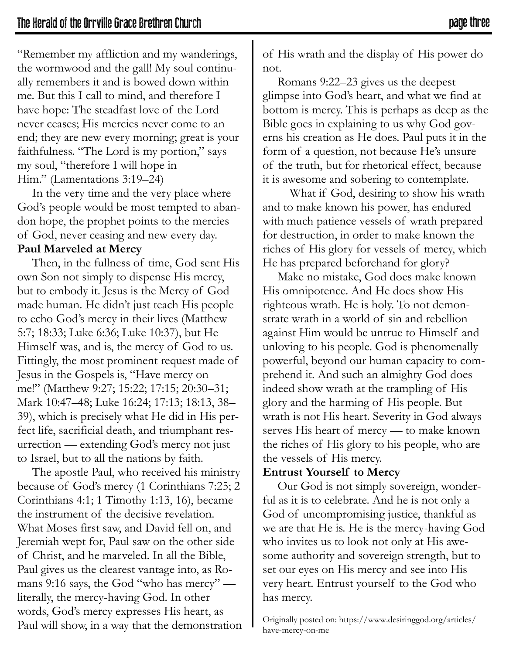"Remember my affliction and my wanderings, the wormwood and the gall! My soul continually remembers it and is bowed down within me. But this I call to mind, and therefore I have hope: The steadfast love of the Lord never ceases; His mercies never come to an end; they are new every morning; great is your faithfulness. "The Lord is my portion," says my soul, "therefore I will hope in Him." (Lamentations 3:19–24)

In the very time and the very place where God's people would be most tempted to abandon hope, the prophet points to the mercies of God, never ceasing and new every day. **Paul Marveled at Mercy**

Then, in the fullness of time, God sent His own Son not simply to dispense His mercy, but to embody it. Jesus is the Mercy of God made human. He didn't just teach His people to echo God's mercy in their lives (Matthew 5:7; 18:33; Luke 6:36; Luke 10:37), but He Himself was, and is, the mercy of God to us. Fittingly, the most prominent request made of Jesus in the Gospels is, "Have mercy on me!" (Matthew 9:27; 15:22; 17:15; 20:30–31; Mark 10:47–48; Luke 16:24; 17:13; 18:13, 38– 39), which is precisely what He did in His perfect life, sacrificial death, and triumphant resurrection — extending God's mercy not just to Israel, but to all the nations by faith.

The apostle Paul, who received his ministry because of God's mercy (1 Corinthians 7:25; 2 Corinthians 4:1; 1 Timothy 1:13, 16), became the instrument of the decisive revelation. What Moses first saw, and David fell on, and Jeremiah wept for, Paul saw on the other side of Christ, and he marveled. In all the Bible, Paul gives us the clearest vantage into, as Romans 9:16 says, the God "who has mercy" literally, the mercy-having God. In other words, God's mercy expresses His heart, as Paul will show, in a way that the demonstration of His wrath and the display of His power do not.

Romans 9:22–23 gives us the deepest glimpse into God's heart, and what we find at bottom is mercy. This is perhaps as deep as the Bible goes in explaining to us why God governs his creation as He does. Paul puts it in the form of a question, not because He's unsure of the truth, but for rhetorical effect, because it is awesome and sobering to contemplate.

 What if God, desiring to show his wrath and to make known his power, has endured with much patience vessels of wrath prepared for destruction, in order to make known the riches of His glory for vessels of mercy, which He has prepared beforehand for glory?

Make no mistake, God does make known His omnipotence. And He does show His righteous wrath. He is holy. To not demonstrate wrath in a world of sin and rebellion against Him would be untrue to Himself and unloving to his people. God is phenomenally powerful, beyond our human capacity to comprehend it. And such an almighty God does indeed show wrath at the trampling of His glory and the harming of His people. But wrath is not His heart. Severity in God always serves His heart of mercy — to make known the riches of His glory to his people, who are the vessels of His mercy.

### **Entrust Yourself to Mercy**

Our God is not simply sovereign, wonderful as it is to celebrate. And he is not only a God of uncompromising justice, thankful as we are that He is. He is the mercy-having God who invites us to look not only at His awesome authority and sovereign strength, but to set our eyes on His mercy and see into His very heart. Entrust yourself to the God who has mercy.

Originally posted on: https://www.desiringgod.org/articles/ have-mercy-on-me